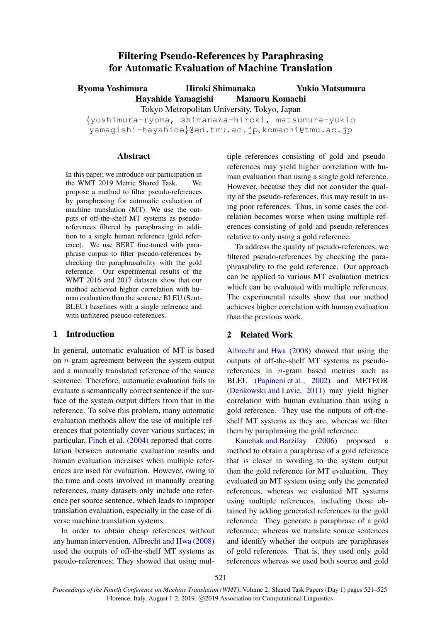# Filtering Pseudo-References by Paraphrasing for Automatic Evaluation of Machine Translation

Ryoma Yoshimura **Hiroki Shimanaka** Hayahide Yamagishi Mamoru Komachi Tokyo Metropolitan University, Tokyo, Japan *{*yoshimura-ryoma, shimanaka-hiroki, matsumura-yukio Yukio Matsumura

yamagishi-hayahide*}*@ed.tmu.ac.jp, komachi@tmu.ac.jp

#### **Abstract**

In this paper, we introduce our participation in the WMT 2019 Metric Shared Task. We propose a method to filter pseudo-references by paraphrasing for automatic evaluation of machine translation (MT). We use the outputs of off-the-shelf MT systems as pseudoreferences filtered by paraphrasing in addition to a single human reference (gold reference). We use BERT fine-tuned with paraphrase corpus to filter pseudo-references by checking the paraphrasability with the gold reference. Our experimental results of the WMT 2016 and 2017 datasets show that our method achieved higher correlation with human evaluation than the sentence BLEU (Sent-BLEU) baselines with a single reference and with unfiltered pseudo-references.

## 1 Introduction

In general, automatic evaluation of MT is based on *n*-gram agreement between the system output and a manually translated reference of the source sentence. Therefore, automatic evaluation fails to evaluate a semantically correct sentence if the surface of the system output differs from that in the reference. To solve this problem, many automatic evaluation methods allow the use of multiple references that potentially cover various surfaces; in particular, Finch et al. (2004) reported that correlation between automatic evaluation results and human evaluation increases when multiple references are used for evaluation. However, owing to the time and costs involved in manually creating references, many datasets only include one reference per source sentence, which leads to improper translation evaluation, especially in the case of diverse machine translation systems.

In order to obtain cheap references without any human intervention, Albrecht and Hwa (2008) used the outputs of off-the-shelf MT systems as pseudo-references; They showed that using multiple references consisting of gold and pseudoreferences may yield higher correlation with human evaluation than using a single gold reference. However, because they did not consider the quality of the pseudo-references, this may result in using poor references. Thus, in some cases the correlation becomes worse when using multiple references consisting of gold and pseudo-references relative to only using a gold reference.

To address the quality of pseudo-references, we filtered pseudo-references by checking the paraphrasability to the gold reference. Our approach can be applied to various MT evaluation metrics which can be evaluated with multiple references. The experimental results show that our method achieves higher correlation with human evaluation than the previous work.

# 2 Related Work

Albrecht and Hwa (2008) showed that using the outputs of off-the-shelf MT systems as pseudoreferences in *n*-gram based metrics such as BLEU (Papineni et al., 2002) and METEOR (Denkowski and Lavie, 2011) may yield higher correlation with human evaluation than using a gold reference. They use the outputs of off-theshelf MT systems as they are, whereas we filter them by paraphrasing the gold reference.

Kauchak and Barzilay (2006) proposed a method to obtain a paraphrase of a gold reference that is closer in wording to the system output than the gold reference for MT evaluation. They evaluated an MT system using only the generated references, whereas we evaluated MT systems using multiple references, including those obtained by adding generated references to the gold reference. They generate a paraphrase of a gold reference, whereas we translate source sentences and identify whether the outputs are paraphrases of gold references. That is, they used only gold references whereas we used both source and gold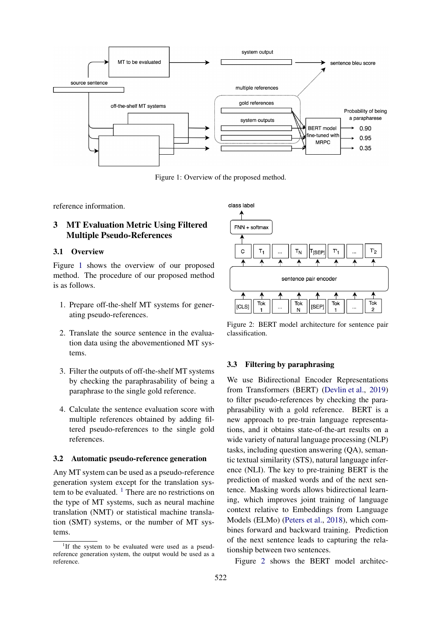

Figure 1: Overview of the proposed method.

reference information.

# 3 MT Evaluation Metric Using Filtered Multiple Pseudo-References

#### 3.1 Overview

Figure 1 shows the overview of our proposed method. The procedure of our proposed method is as follows.

- 1. Prepare off-the-shelf MT systems for generating pseudo-references.
- 2. Translate the source sentence in the evaluation data using the abovementioned MT systems.
- 3. Filter the outputs of off-the-shelf MT systems by checking the paraphrasability of being a paraphrase to the single gold reference.
- 4. Calculate the sentence evaluation score with multiple references obtained by adding filtered pseudo-references to the single gold references.

### 3.2 Automatic pseudo-reference generation

Any MT system can be used as a pseudo-reference generation system except for the translation system to be evaluated.  $\frac{1}{1}$  There are no restrictions on the type of MT systems, such as neural machine translation (NMT) or statistical machine translation (SMT) systems, or the number of MT systems.



Figure 2: BERT model architecture for sentence pair classification.

#### 3.3 Filtering by paraphrasing

We use Bidirectional Encoder Representations from Transformers (BERT) (Devlin et al., 2019) to filter pseudo-references by checking the paraphrasability with a gold reference. BERT is a new approach to pre-train language representations, and it obtains state-of-the-art results on a wide variety of natural language processing (NLP) tasks, including question answering (QA), semantic textual similarity (STS), natural language inference (NLI). The key to pre-training BERT is the prediction of masked words and of the next sentence. Masking words allows bidirectional learning, which improves joint training of language context relative to Embeddings from Language Models (ELMo) (Peters et al., 2018), which combines forward and backward training. Prediction of the next sentence leads to capturing the relationship between two sentences.

Figure 2 shows the BERT model architec-

<sup>&</sup>lt;sup>1</sup>If the system to be evaluated were used as a pseudreference generation system, the output would be used as a reference.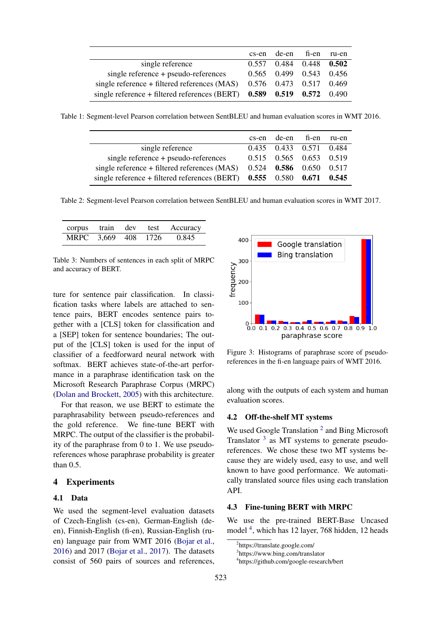|                                                                               | cs-en de-en fi-en ru-en         |  |
|-------------------------------------------------------------------------------|---------------------------------|--|
| single reference                                                              | $0.557$ $0.484$ $0.448$ $0.502$ |  |
| single reference + pseudo-references                                          | 0.565 0.499 0.543 0.456         |  |
| single reference $+$ filtered references (MAS)                                | 0.576 0.473 0.517 0.469         |  |
| single reference + filtered references (BERT) $0.589$ $0.519$ $0.572$ $0.490$ |                                 |  |

Table 1: Segment-level Pearson correlation between SentBLEU and human evaluation scores in WMT 2016.

|                                                                               | cs-en de-en fi-en |                           | ru-en |
|-------------------------------------------------------------------------------|-------------------|---------------------------|-------|
| single reference                                                              |                   | 0.435 0.433 0.571 0.484   |       |
| single reference + pseudo-references                                          |                   | 0.515 0.565 0.653 0.519   |       |
| single reference $+$ filtered references (MAS)                                |                   | $0.524$ 0.586 0.650 0.517 |       |
| single reference + filtered references (BERT) $0.555$ $0.580$ $0.671$ $0.545$ |                   |                           |       |

Table 2: Segment-level Pearson correlation between SentBLEU and human evaluation scores in WMT 2017.

|                     |  | corpus train dev test Accuracy |
|---------------------|--|--------------------------------|
| MRPC 3,669 408 1726 |  | 0.845                          |

Table 3: Numbers of sentences in each split of MRPC and accuracy of BERT.

ture for sentence pair classification. In classification tasks where labels are attached to sentence pairs, BERT encodes sentence pairs together with a [CLS] token for classification and a [SEP] token for sentence boundaries; The output of the [CLS] token is used for the input of classifier of a feedforward neural network with softmax. BERT achieves state-of-the-art performance in a paraphrase identification task on the Microsoft Research Paraphrase Corpus (MRPC) (Dolan and Brockett, 2005) with this architecture.

For that reason, we use BERT to estimate the paraphrasability between pseudo-references and the gold reference. We fine-tune BERT with MRPC. The output of the classifier is the probability of the paraphrase from 0 to 1. We use pseudoreferences whose paraphrase probability is greater than 0.5.

#### 4 Experiments

#### 4.1 Data

We used the segment-level evaluation datasets of Czech-English (cs-en), German-English (deen), Finnish-English (fi-en), Russian-English (ruen) language pair from WMT 2016 (Bojar et al., 2016) and 2017 (Bojar et al., 2017). The datasets consist of 560 pairs of sources and references,



Figure 3: Histograms of paraphrase score of pseudoreferences in the fi-en language pairs of WMT 2016.

along with the outputs of each system and human evaluation scores.

### 4.2 Off-the-shelf MT systems

We used Google Translation<sup>2</sup> and Bing Microsoft Translator  $3$  as MT systems to generate pseudoreferences. We chose these two MT systems because they are widely used, easy to use, and well known to have good performance. We automatically translated source files using each translation API.

#### 4.3 Fine-tuning BERT with MRPC

We use the pre-trained BERT-Base Uncased model<sup>4</sup>, which has 12 layer, 768 hidden, 12 heads

<sup>2</sup> https://translate.google.com/

<sup>3</sup> https://www.bing.com/translator

<sup>4</sup> https://github.com/google-research/bert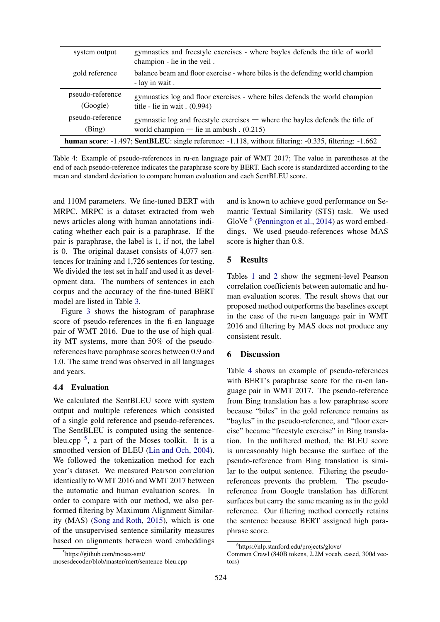| system output                                                                                                       | gymnastics and freestyle exercises - where bayles defends the title of world<br>champion - lie in the veil.                 |  |
|---------------------------------------------------------------------------------------------------------------------|-----------------------------------------------------------------------------------------------------------------------------|--|
| gold reference                                                                                                      | balance beam and floor exercise - where biles is the defending world champion<br>- lay in wait.                             |  |
| pseudo-reference<br>(Google)                                                                                        | gymnastics log and floor exercises - where biles defends the world champion<br>title - lie in wait $(0.994)$                |  |
| pseudo-reference<br>(Bing)                                                                                          | gymnastic log and freestyle exercises $-$ where the bayles defends the title of<br>world champion — lie in ambush $(0.215)$ |  |
| <b>human score:</b> -1.497; <b>SentBLEU:</b> single reference: -1.118, without filtering: -0.335, filtering: -1.662 |                                                                                                                             |  |

Table 4: Example of pseudo-references in ru-en language pair of WMT 2017; The value in parentheses at the end of each pseudo-reference indicates the paraphrase score by BERT. Each score is standardized according to the mean and standard deviation to compare human evaluation and each SentBLEU score.

and 110M parameters. We fine-tuned BERT with MRPC. MRPC is a dataset extracted from web news articles along with human annotations indicating whether each pair is a paraphrase. If the pair is paraphrase, the label is 1, if not, the label is 0. The original dataset consists of 4,077 sentences for training and 1,726 sentences for testing. We divided the test set in half and used it as development data. The numbers of sentences in each corpus and the accuracy of the fine-tuned BERT model are listed in Table 3.

Figure 3 shows the histogram of paraphrase score of pseudo-references in the fi-en language pair of WMT 2016. Due to the use of high quality MT systems, more than 50% of the pseudoreferences have paraphrase scores between 0.9 and 1.0. The same trend was observed in all languages and years.

#### 4.4 Evaluation

We calculated the SentBLEU score with system output and multiple references which consisted of a single gold reference and pseudo-references. The SentBLEU is computed using the sentencebleu.cpp<sup>5</sup>, a part of the Moses toolkit. It is a smoothed version of BLEU (Lin and Och, 2004). We followed the tokenization method for each year's dataset. We measured Pearson correlation identically to WMT 2016 and WMT 2017 between the automatic and human evaluation scores. In order to compare with our method, we also performed filtering by Maximum Alignment Similarity (MAS) (Song and Roth, 2015), which is one of the unsupervised sentence similarity measures based on alignments between word embeddings and is known to achieve good performance on Semantic Textual Similarity (STS) task. We used GloVe  $<sup>6</sup>$  (Pennington et al., 2014) as word embed-</sup> dings. We used pseudo-references whose MAS score is higher than 0.8.

#### 5 Results

Tables 1 and 2 show the segment-level Pearson correlation coefficients between automatic and human evaluation scores. The result shows that our proposed method outperforms the baselines except in the case of the ru-en language pair in WMT 2016 and filtering by MAS does not produce any consistent result.

#### 6 Discussion

Table 4 shows an example of pseudo-references with BERT's paraphrase score for the ru-en language pair in WMT 2017. The pseudo-reference from Bing translation has a low paraphrase score because "biles" in the gold reference remains as "bayles" in the pseudo-reference, and "floor exercise" became "freestyle exercise" in Bing translation. In the unfiltered method, the BLEU score is unreasonably high because the surface of the pseudo-reference from Bing translation is similar to the output sentence. Filtering the pseudoreferences prevents the problem. The pseudoreference from Google translation has different surfaces but carry the same meaning as in the gold reference. Our filtering method correctly retains the sentence because BERT assigned high paraphrase score.

<sup>5</sup> https://github.com/moses-smt/

mosesdecoder/blob/master/mert/sentence-bleu.cpp

<sup>6</sup> https://nlp.stanford.edu/projects/glove/

Common Crawl (840B tokens, 2.2M vocab, cased, 300d vectors)